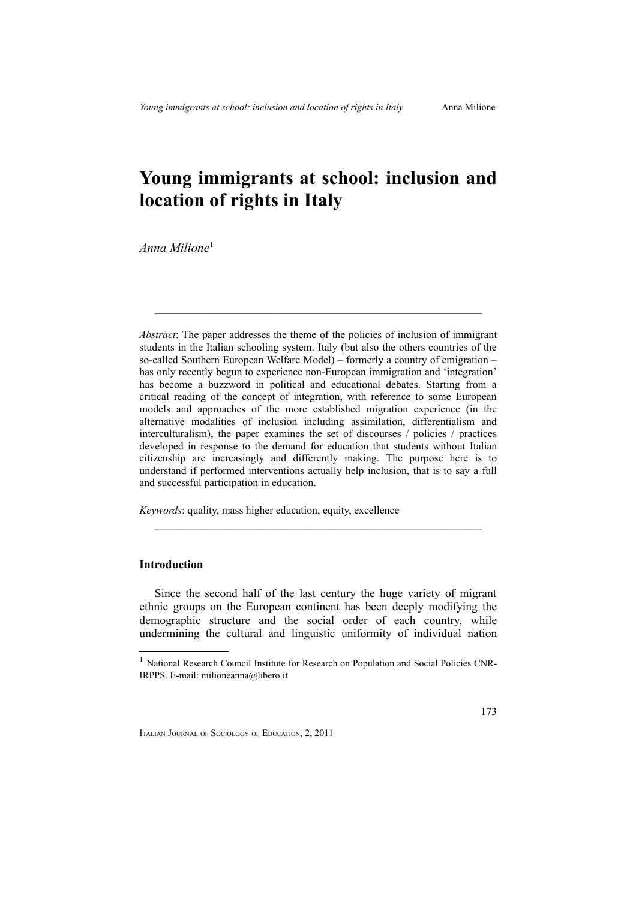# **Young immigrants at school: inclusion and location of rights in Italy**

*Anna Milione*[1](#page-0-0)

*Abstract*: The paper addresses the theme of the policies of inclusion of immigrant students in the Italian schooling system. Italy (but also the others countries of the so-called Southern European Welfare Model) – formerly a country of emigration – has only recently begun to experience non-European immigration and 'integration' has become a buzzword in political and educational debates. Starting from a critical reading of the concept of integration, with reference to some European models and approaches of the more established migration experience (in the alternative modalities of inclusion including assimilation, differentialism and interculturalism), the paper examines the set of discourses / policies / practices developed in response to the demand for education that students without Italian citizenship are increasingly and differently making. The purpose here is to understand if performed interventions actually help inclusion, that is to say a full and successful participation in education.

 $\mathcal{L}_\text{max}$  , and the contract of the contract of the contract of the contract of the contract of the contract of

*Keywords*: quality, mass higher education, equity, excellence

## **Introduction**

Since the second half of the last century the huge variety of migrant ethnic groups on the European continent has been deeply modifying the demographic structure and the social order of each country, while undermining the cultural and linguistic uniformity of individual nation

 $\mathcal{L}_\text{max}$  , and the contract of the contract of the contract of the contract of the contract of the contract of

<span id="page-0-0"></span><sup>&</sup>lt;sup>1</sup> National Research Council Institute for Research on Population and Social Policies CNR-IRPPS. E-mail: milioneanna@libero.it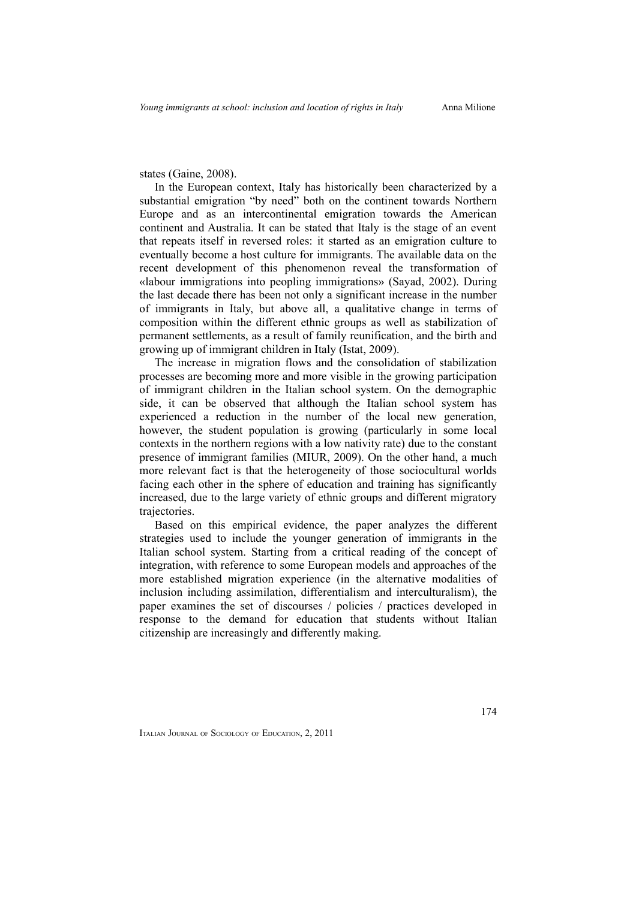states (Gaine, 2008).

In the European context, Italy has historically been characterized by a substantial emigration "by need" both on the continent towards Northern Europe and as an intercontinental emigration towards the American continent and Australia. It can be stated that Italy is the stage of an event that repeats itself in reversed roles: it started as an emigration culture to eventually become a host culture for immigrants. The available data on the recent development of this phenomenon reveal the transformation of «labour immigrations into peopling immigrations» (Sayad, 2002). During the last decade there has been not only a significant increase in the number of immigrants in Italy, but above all, a qualitative change in terms of composition within the different ethnic groups as well as stabilization of permanent settlements, as a result of family reunification, and the birth and growing up of immigrant children in Italy (Istat, 2009).

The increase in migration flows and the consolidation of stabilization processes are becoming more and more visible in the growing participation of immigrant children in the Italian school system. On the demographic side, it can be observed that although the Italian school system has experienced a reduction in the number of the local new generation, however, the student population is growing (particularly in some local contexts in the northern regions with a low nativity rate) due to the constant presence of immigrant families (MIUR, 2009). On the other hand, a much more relevant fact is that the heterogeneity of those sociocultural worlds facing each other in the sphere of education and training has significantly increased, due to the large variety of ethnic groups and different migratory trajectories.

Based on this empirical evidence, the paper analyzes the different strategies used to include the younger generation of immigrants in the Italian school system. Starting from a critical reading of the concept of integration, with reference to some European models and approaches of the more established migration experience (in the alternative modalities of inclusion including assimilation, differentialism and interculturalism), the paper examines the set of discourses / policies / practices developed in response to the demand for education that students without Italian citizenship are increasingly and differently making.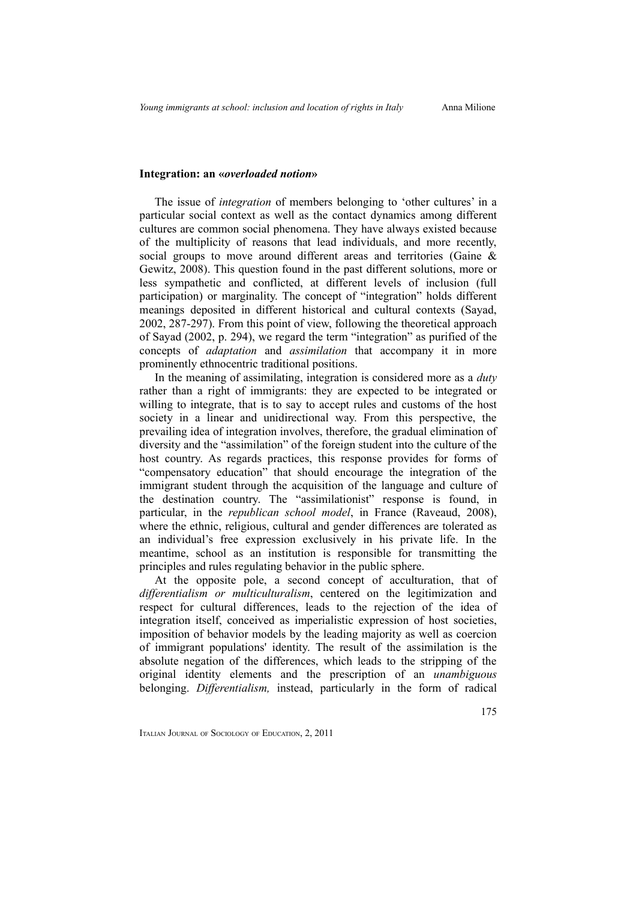## **Integration: an «***overloaded notion***»**

The issue of *integration* of members belonging to 'other cultures' in a particular social context as well as the contact dynamics among different cultures are common social phenomena. They have always existed because of the multiplicity of reasons that lead individuals, and more recently, social groups to move around different areas and territories (Gaine & Gewitz, 2008). This question found in the past different solutions, more or less sympathetic and conflicted, at different levels of inclusion (full participation) or marginality. The concept of "integration" holds different meanings deposited in different historical and cultural contexts (Sayad, 2002, 287-297). From this point of view, following the theoretical approach of Sayad (2002, p. 294), we regard the term "integration" as purified of the concepts of *adaptation* and *assimilation* that accompany it in more prominently ethnocentric traditional positions.

In the meaning of assimilating, integration is considered more as a *duty* rather than a right of immigrants: they are expected to be integrated or willing to integrate, that is to say to accept rules and customs of the host society in a linear and unidirectional way. From this perspective, the prevailing idea of integration involves, therefore, the gradual elimination of diversity and the "assimilation" of the foreign student into the culture of the host country. As regards practices, this response provides for forms of "compensatory education" that should encourage the integration of the immigrant student through the acquisition of the language and culture of the destination country. The "assimilationist" response is found, in particular, in the *republican school model*, in France (Raveaud, 2008), where the ethnic, religious, cultural and gender differences are tolerated as an individual's free expression exclusively in his private life. In the meantime, school as an institution is responsible for transmitting the principles and rules regulating behavior in the public sphere.

At the opposite pole, a second concept of acculturation, that of *differentialism or multiculturalism*, centered on the legitimization and respect for cultural differences, leads to the rejection of the idea of integration itself, conceived as imperialistic expression of host societies, imposition of behavior models by the leading majority as well as coercion of immigrant populations' identity. The result of the assimilation is the absolute negation of the differences, which leads to the stripping of the original identity elements and the prescription of an *unambiguous* belonging. *Differentialism,* instead, particularly in the form of radical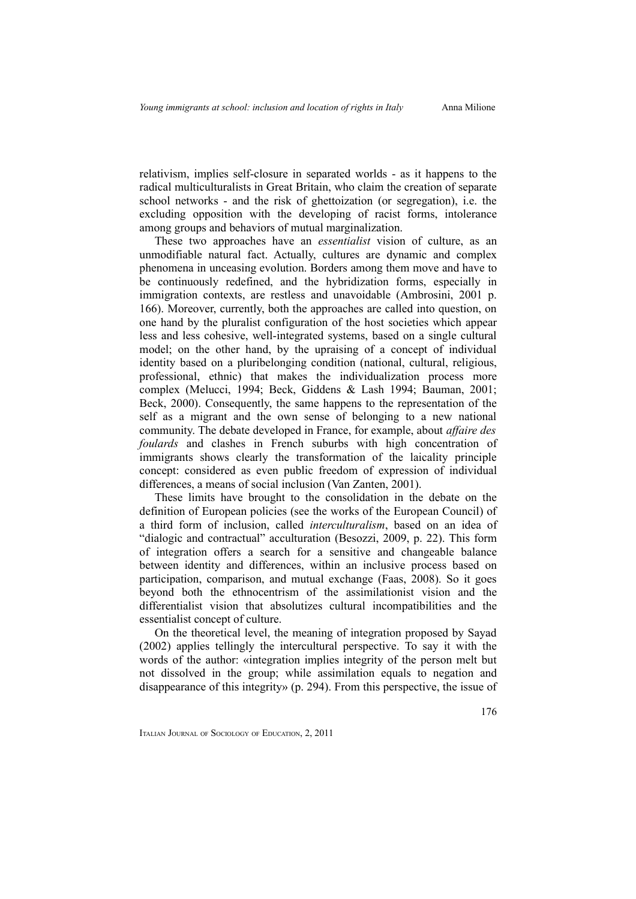relativism, implies self-closure in separated worlds - as it happens to the radical multiculturalists in Great Britain, who claim the creation of separate school networks - and the risk of ghettoization (or segregation), i.e. the excluding opposition with the developing of racist forms, intolerance among groups and behaviors of mutual marginalization.

These two approaches have an *essentialist* vision of culture, as an unmodifiable natural fact. Actually, cultures are dynamic and complex phenomena in unceasing evolution. Borders among them move and have to be continuously redefined, and the hybridization forms, especially in immigration contexts, are restless and unavoidable (Ambrosini, 2001 p. 166). Moreover, currently, both the approaches are called into question, on one hand by the pluralist configuration of the host societies which appear less and less cohesive, well-integrated systems, based on a single cultural model; on the other hand, by the upraising of a concept of individual identity based on a pluribelonging condition (national, cultural, religious, professional, ethnic) that makes the individualization process more complex (Melucci, 1994; Beck, Giddens & Lash 1994; Bauman, 2001; Beck, 2000). Consequently, the same happens to the representation of the self as a migrant and the own sense of belonging to a new national community. The debate developed in France, for example, about *affaire des foulards* and clashes in French suburbs with high concentration of immigrants shows clearly the transformation of the laicality principle concept: considered as even public freedom of expression of individual differences, a means of social inclusion (Van Zanten, 2001).

These limits have brought to the consolidation in the debate on the definition of European policies (see the works of the European Council) of a third form of inclusion, called *interculturalism*, based on an idea of "dialogic and contractual" acculturation (Besozzi, 2009, p. 22). This form of integration offers a search for a sensitive and changeable balance between identity and differences, within an inclusive process based on participation, comparison, and mutual exchange (Faas, 2008). So it goes beyond both the ethnocentrism of the assimilationist vision and the differentialist vision that absolutizes cultural incompatibilities and the essentialist concept of culture.

On the theoretical level, the meaning of integration proposed by Sayad (2002) applies tellingly the intercultural perspective. To say it with the words of the author: «integration implies integrity of the person melt but not dissolved in the group; while assimilation equals to negation and disappearance of this integrity» (p. 294). From this perspective, the issue of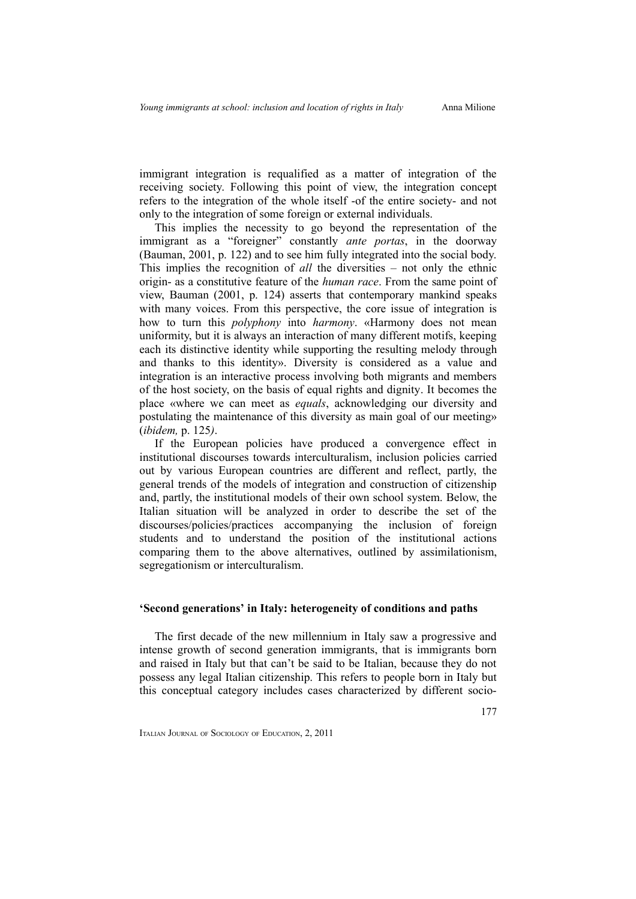immigrant integration is requalified as a matter of integration of the receiving society. Following this point of view, the integration concept refers to the integration of the whole itself -of the entire society- and not only to the integration of some foreign or external individuals.

This implies the necessity to go beyond the representation of the immigrant as a "foreigner" constantly *ante portas*, in the doorway (Bauman, 2001, p. 122) and to see him fully integrated into the social body. This implies the recognition of *all* the diversities – not only the ethnic origin- as a constitutive feature of the *human race*. From the same point of view, Bauman (2001, p. 124) asserts that contemporary mankind speaks with many voices. From this perspective, the core issue of integration is how to turn this *polyphony* into *harmony*. «Harmony does not mean uniformity, but it is always an interaction of many different motifs, keeping each its distinctive identity while supporting the resulting melody through and thanks to this identity». Diversity is considered as a value and integration is an interactive process involving both migrants and members of the host society, on the basis of equal rights and dignity. It becomes the place «where we can meet as *equals*, acknowledging our diversity and postulating the maintenance of this diversity as main goal of our meeting» (*ibidem,* p. 125*)*.

If the European policies have produced a convergence effect in institutional discourses towards interculturalism, inclusion policies carried out by various European countries are different and reflect, partly, the general trends of the models of integration and construction of citizenship and, partly, the institutional models of their own school system. Below, the Italian situation will be analyzed in order to describe the set of the discourses/policies/practices accompanying the inclusion of foreign students and to understand the position of the institutional actions comparing them to the above alternatives, outlined by assimilationism, segregationism or interculturalism.

#### **'Second generations' in Italy: heterogeneity of conditions and paths**

The first decade of the new millennium in Italy saw a progressive and intense growth of second generation immigrants, that is immigrants born and raised in Italy but that can't be said to be Italian, because they do not possess any legal Italian citizenship. This refers to people born in Italy but this conceptual category includes cases characterized by different socio-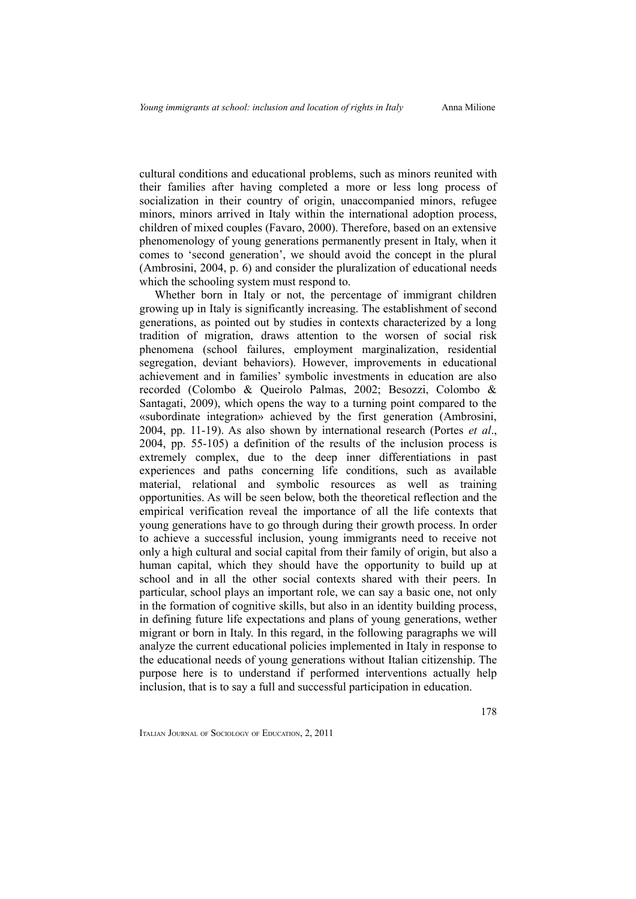178

cultural conditions and educational problems, such as minors reunited with their families after having completed a more or less long process of socialization in their country of origin, unaccompanied minors, refugee minors, minors arrived in Italy within the international adoption process, children of mixed couples (Favaro, 2000). Therefore, based on an extensive phenomenology of young generations permanently present in Italy, when it comes to 'second generation', we should avoid the concept in the plural (Ambrosini, 2004, p. 6) and consider the pluralization of educational needs which the schooling system must respond to.

Whether born in Italy or not, the percentage of immigrant children growing up in Italy is significantly increasing. The establishment of second generations, as pointed out by studies in contexts characterized by a long tradition of migration, draws attention to the worsen of social risk phenomena (school failures, employment marginalization, residential segregation, deviant behaviors). However, improvements in educational achievement and in families' symbolic investments in education are also recorded (Colombo & Queirolo Palmas, 2002; Besozzi, Colombo & Santagati, 2009), which opens the way to a turning point compared to the «subordinate integration» achieved by the first generation (Ambrosini, 2004, pp. 11-19). As also shown by international research (Portes *et al*., 2004, pp. 55-105) a definition of the results of the inclusion process is extremely complex, due to the deep inner differentiations in past experiences and paths concerning life conditions, such as available material, relational and symbolic resources as well as training opportunities. As will be seen below, both the theoretical reflection and the empirical verification reveal the importance of all the life contexts that young generations have to go through during their growth process. In order to achieve a successful inclusion, young immigrants need to receive not only a high cultural and social capital from their family of origin, but also a human capital, which they should have the opportunity to build up at school and in all the other social contexts shared with their peers. In particular, school plays an important role, we can say a basic one, not only in the formation of cognitive skills, but also in an identity building process, in defining future life expectations and plans of young generations, wether migrant or born in Italy. In this regard, in the following paragraphs we will analyze the current educational policies implemented in Italy in response to the educational needs of young generations without Italian citizenship. The purpose here is to understand if performed interventions actually help inclusion, that is to say a full and successful participation in education.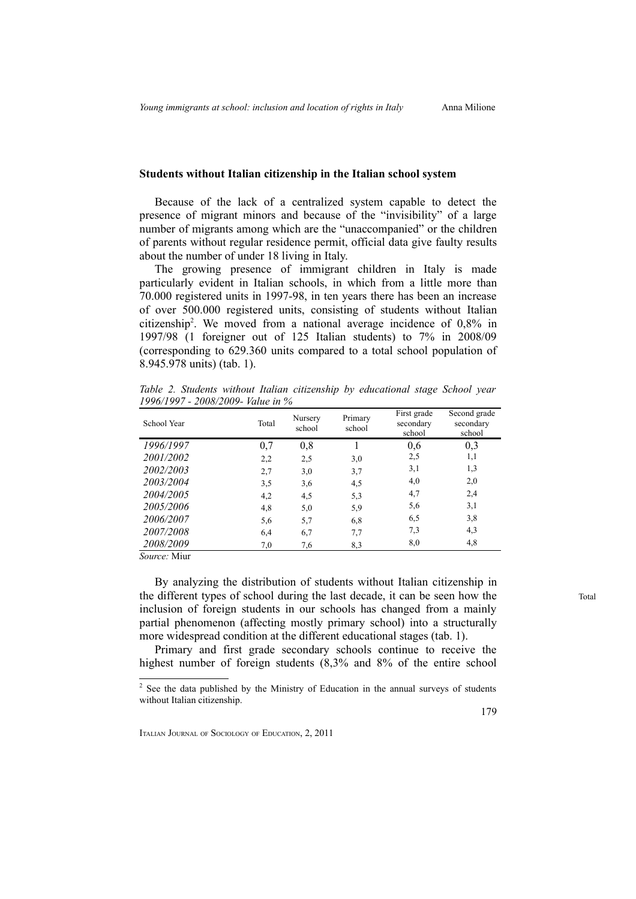## **Students without Italian citizenship in the Italian school system**

Because of the lack of a centralized system capable to detect the presence of migrant minors and because of the "invisibility" of a large number of migrants among which are the "unaccompanied" or the children of parents without regular residence permit, official data give faulty results about the number of under 18 living in Italy.

The growing presence of immigrant children in Italy is made particularly evident in Italian schools, in which from a little more than 70.000 registered units in 1997-98, in ten years there has been an increase of over 500.000 registered units, consisting of students without Italian citizenship[2](#page-6-0) . We moved from a national average incidence of 0,8% in 1997/98 (1 foreigner out of 125 Italian students) to 7% in 2008/09 (corresponding to 629.360 units compared to a total school population of 8.945.978 units) (tab. 1).

*Table 2. Students without Italian citizenship by educational stage School year 1996/1997 - 2008/2009- Value in %*

| School Year | Total | Nursery<br>school | Primary<br>school | First grade<br>secondary<br>school | Second grade<br>secondary<br>school |
|-------------|-------|-------------------|-------------------|------------------------------------|-------------------------------------|
| 1996/1997   | 0,7   | 0,8               |                   | 0,6                                | 0,3                                 |
| 2001/2002   | 2,2   | 2,5               | 3,0               | 2,5                                | 1,1                                 |
| 2002/2003   | 2,7   | 3,0               | 3,7               | 3,1                                | 1,3                                 |
| 2003/2004   | 3,5   | 3,6               | 4,5               | 4,0                                | 2,0                                 |
| 2004/2005   | 4,2   | 4,5               | 5,3               | 4,7                                | 2,4                                 |
| 2005/2006   | 4,8   | 5,0               | 5,9               | 5,6                                | 3,1                                 |
| 2006/2007   | 5,6   | 5,7               | 6,8               | 6,5                                | 3,8                                 |
| 2007/2008   | 6,4   | 6,7               | 7.7               | 7,3                                | 4,3                                 |
| 2008/2009   | 7,0   | 7,6               | 8,3               | 8,0                                | 4,8                                 |

*Source:* Miur

By analyzing the distribution of students without Italian citizenship in the different types of school during the last decade, it can be seen how the inclusion of foreign students in our schools has changed from a mainly partial phenomenon (affecting mostly primary school) into a structurally more widespread condition at the different educational stages (tab. 1).

Primary and first grade secondary schools continue to receive the highest number of foreign students  $(8,3\%$  and  $8\%$  of the entire school

179

Total

<span id="page-6-0"></span> $2^2$  See the data published by the Ministry of Education in the annual surveys of students without Italian citizenship.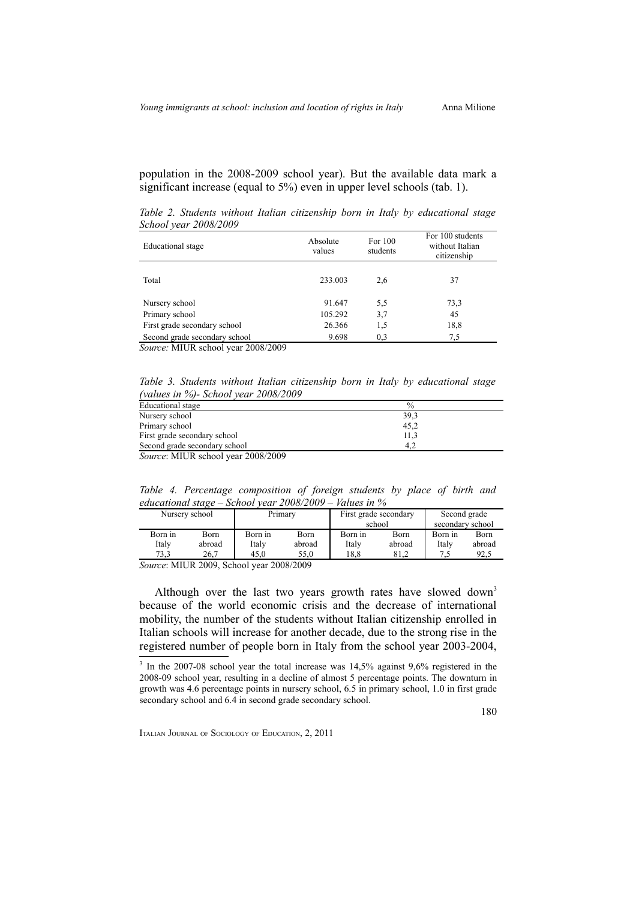180

population in the 2008-2009 school year). But the available data mark a significant increase (equal to 5%) even in upper level schools (tab. 1).

*Table 2. Students without Italian citizenship born in Italy by educational stage School year 2008/2009*

| Educational stage             | Absolute<br>values | For 100<br>students | For 100 students<br>without Italian<br>citizenship |
|-------------------------------|--------------------|---------------------|----------------------------------------------------|
| Total                         | 233,003            | 2,6                 | 37                                                 |
| Nursery school                | 91.647             | 5,5                 | 73.3                                               |
| Primary school                | 105.292            | 3,7                 | 45                                                 |
| First grade secondary school  | 26.366             | 1,5                 | 18,8                                               |
| Second grade secondary school | 9.698              | 0.3                 | 7.5                                                |

*Source:* MIUR school year 2008/2009

*Table 3. Students without Italian citizenship born in Italy by educational stage (values in %)- School year 2008/2009*

| Educational stage                         | $\%$ |
|-------------------------------------------|------|
| Nursery school                            | 39,3 |
| Primary school                            | 45,2 |
| First grade secondary school              | 11,3 |
| Second grade secondary school             | 4.2  |
| <i>Source:</i> MIUR school year 2008/2009 |      |

*Table 4. Percentage composition of foreign students by place of birth and educational stage – School year 2008/2009 – Values in %*

|                                   | Nursery school | Primary |        | First grade secondary |        | Second grade     |        |
|-----------------------------------|----------------|---------|--------|-----------------------|--------|------------------|--------|
|                                   |                |         |        | school                |        | secondary school |        |
| Born in                           | Born           | Born in | Born   | Born in               | Born   | Born in          | Born   |
| Italy                             | abroad         | Italy   | abroad | Italy                 | abroad | Italy            | abroad |
| 73.3                              | 26.7           | 45.0    | 55.0   | 18.8                  | 81.2   |                  | 92.5   |
| ---------<br>--------------<br>-- |                |         |        |                       |        |                  |        |

*Source*: MIUR 2009, School year 2008/2009

Although over the last two years growth rates have slowed down<sup>[3](#page-7-0)</sup> because of the world economic crisis and the decrease of international mobility, the number of the students without Italian citizenship enrolled in Italian schools will increase for another decade, due to the strong rise in the registered number of people born in Italy from the school year 2003-2004,

<span id="page-7-0"></span><sup>&</sup>lt;sup>3</sup> In the 2007-08 school year the total increase was 14,5% against 9,6% registered in the 2008-09 school year, resulting in a decline of almost 5 percentage points. The downturn in growth was 4.6 percentage points in nursery school, 6.5 in primary school, 1.0 in first grade secondary school and 6.4 in second grade secondary school.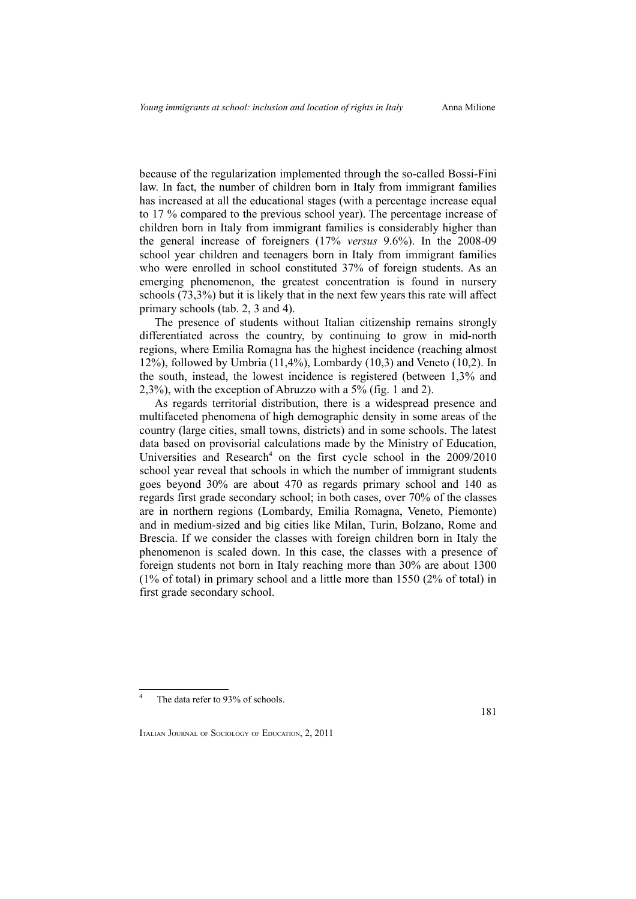because of the regularization implemented through the so-called Bossi-Fini law. In fact, the number of children born in Italy from immigrant families has increased at all the educational stages (with a percentage increase equal to 17 % compared to the previous school year). The percentage increase of children born in Italy from immigrant families is considerably higher than the general increase of foreigners (17% *versus* 9.6%). In the 2008-09 school year children and teenagers born in Italy from immigrant families who were enrolled in school constituted 37% of foreign students. As an emerging phenomenon, the greatest concentration is found in nursery schools (73,3%) but it is likely that in the next few years this rate will affect primary schools (tab. 2, 3 and 4).

The presence of students without Italian citizenship remains strongly differentiated across the country, by continuing to grow in mid-north regions, where Emilia Romagna has the highest incidence (reaching almost 12%), followed by Umbria (11,4%), Lombardy (10,3) and Veneto (10,2). In the south, instead, the lowest incidence is registered (between 1,3% and 2,3%), with the exception of Abruzzo with a 5% (fig. 1 and 2).

As regards territorial distribution, there is a widespread presence and multifaceted phenomena of high demographic density in some areas of the country (large cities, small towns, districts) and in some schools. The latest data based on provisorial calculations made by the Ministry of Education, Universities and Research<sup>[4](#page-8-0)</sup> on the first cycle school in the 2009/2010 school year reveal that schools in which the number of immigrant students goes beyond 30% are about 470 as regards primary school and 140 as regards first grade secondary school; in both cases, over 70% of the classes are in northern regions (Lombardy, Emilia Romagna, Veneto, Piemonte) and in medium-sized and big cities like Milan, Turin, Bolzano, Rome and Brescia. If we consider the classes with foreign children born in Italy the phenomenon is scaled down. In this case, the classes with a presence of foreign students not born in Italy reaching more than 30% are about 1300 (1% of total) in primary school and a little more than 1550 (2% of total) in first grade secondary school.

<span id="page-8-0"></span><sup>4</sup> The data refer to 93% of schools.

ITALIAN JOURNAL OF SOCIOLOGY OF EDUCATION, 2, 2011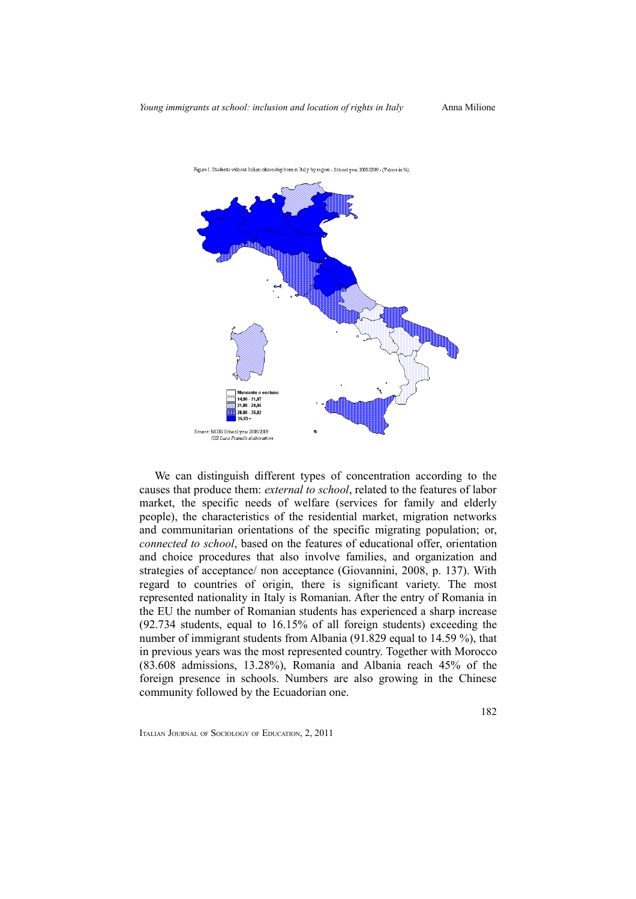

Figure 1: Students without Italian citizenship born in Italy by region - School year 2008/2009 - (Values in %)

We can distinguish different types of concentration according to the causes that produce them: *external to school*, related to the features of labor market, the specific needs of welfare (services for family and elderly people), the characteristics of the residential market, migration networks and communitarian orientations of the specific migrating population; or, *connected to school*, based on the features of educational offer, orientation and choice procedures that also involve families, and organization and strategies of acceptance/ non acceptance (Giovannini, 2008, p. 137). With regard to countries of origin, there is significant variety. The most represented nationality in Italy is Romanian. After the entry of Romania in the EU the number of Romanian students has experienced a sharp increase (92.734 students, equal to 16.15% of all foreign students) exceeding the number of immigrant students from Albania (91.829 equal to 14.59 %), that in previous years was the most represented country. Together with Morocco (83.608 admissions, 13.28%), Romania and Albania reach 45% of the foreign presence in schools. Numbers are also growing in the Chinese community followed by the Ecuadorian one.

ITALIAN JOURNAL OF SOCIOLOGY OF EDUCATION, 2, 2011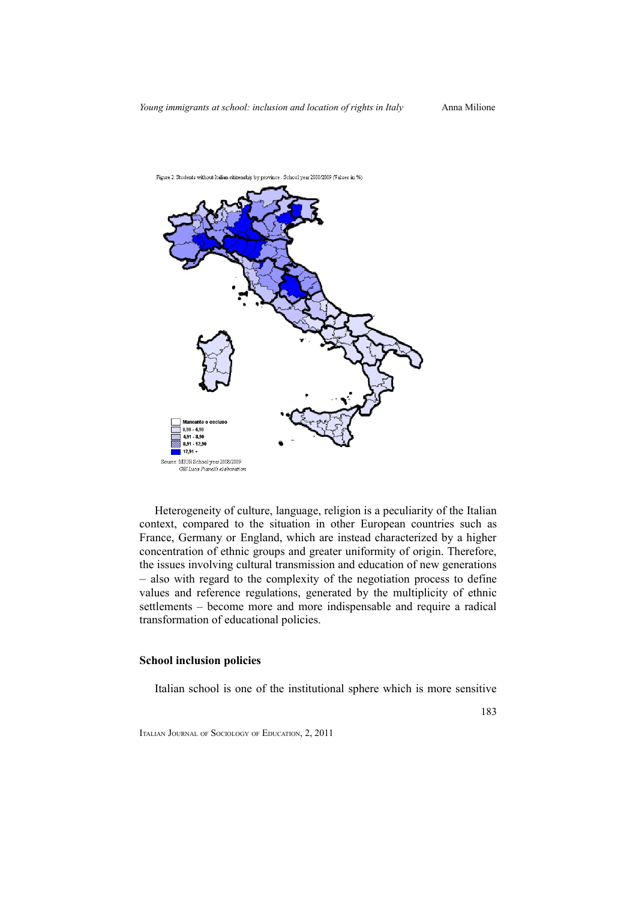

Heterogeneity of culture, language, religion is a peculiarity of the Italian context, compared to the situation in other European countries such as France, Germany or England, which are instead characterized by a higher concentration of ethnic groups and greater uniformity of origin. Therefore, the issues involving cultural transmission and education of new generations – also with regard to the complexity of the negotiation process to define values and reference regulations, generated by the multiplicity of ethnic settlements – become more and more indispensable and require a radical transformation of educational policies.

## **School inclusion policies**

Italian school is one of the institutional sphere which is more sensitive

ITALIAN JOURNAL OF SOCIOLOGY OF EDUCATION, 2, 2011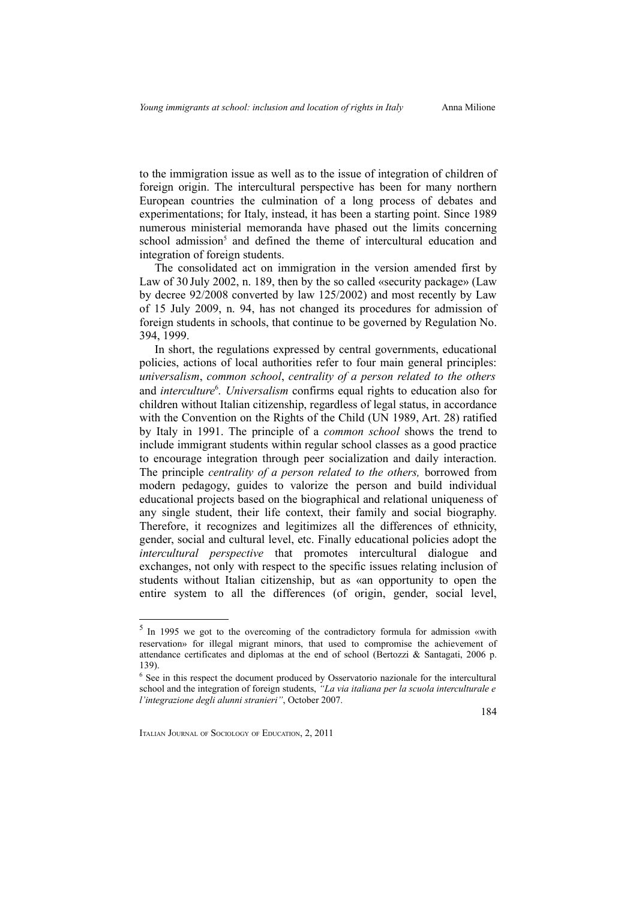to the immigration issue as well as to the issue of integration of children of foreign origin. The intercultural perspective has been for many northern European countries the culmination of a long process of debates and experimentations; for Italy, instead, it has been a starting point. Since 1989 numerous ministerial memoranda have phased out the limits concerning school admission<sup>[5](#page-11-0)</sup> and defined the theme of intercultural education and integration of foreign students.

The consolidated act on immigration in the version amended first by Law of 30 July 2002, n. 189, then by the so called «security package» (Law by decree 92/2008 converted by law 125/2002) and most recently by Law of 15 July 2009, n. 94, has not changed its procedures for admission of foreign students in schools, that continue to be governed by Regulation No. 394, 1999.

In short, the regulations expressed by central governments, educational policies, actions of local authorities refer to four main general principles: *universalism*, *common school*, *centrality of a person related to the others* and *interculture*<sup>[6](#page-11-1)</sup>. *Universalism* confirms equal rights to education also for children without Italian citizenship, regardless of legal status, in accordance with the Convention on the Rights of the Child (UN 1989, Art. 28) ratified by Italy in 1991. The principle of a *common school* shows the trend to include immigrant students within regular school classes as a good practice to encourage integration through peer socialization and daily interaction. The principle *centrality of a person related to the others,* borrowed from modern pedagogy, guides to valorize the person and build individual educational projects based on the biographical and relational uniqueness of any single student, their life context, their family and social biography. Therefore, it recognizes and legitimizes all the differences of ethnicity, gender, social and cultural level, etc. Finally educational policies adopt the *intercultural perspective* that promotes intercultural dialogue and exchanges, not only with respect to the specific issues relating inclusion of students without Italian citizenship, but as «an opportunity to open the entire system to all the differences (of origin, gender, social level,

<span id="page-11-0"></span><sup>5</sup> In 1995 we got to the overcoming of the contradictory formula for admission «with reservation» for illegal migrant minors, that used to compromise the achievement of attendance certificates and diplomas at the end of school (Bertozzi & Santagati, 2006 p. 139).

<span id="page-11-1"></span><sup>&</sup>lt;sup>6</sup> See in this respect the document produced by Osservatorio nazionale for the intercultural school and the integration of foreign students, *"La via italiana per la scuola interculturale e l'integrazione degli alunni stranieri"*, October 2007.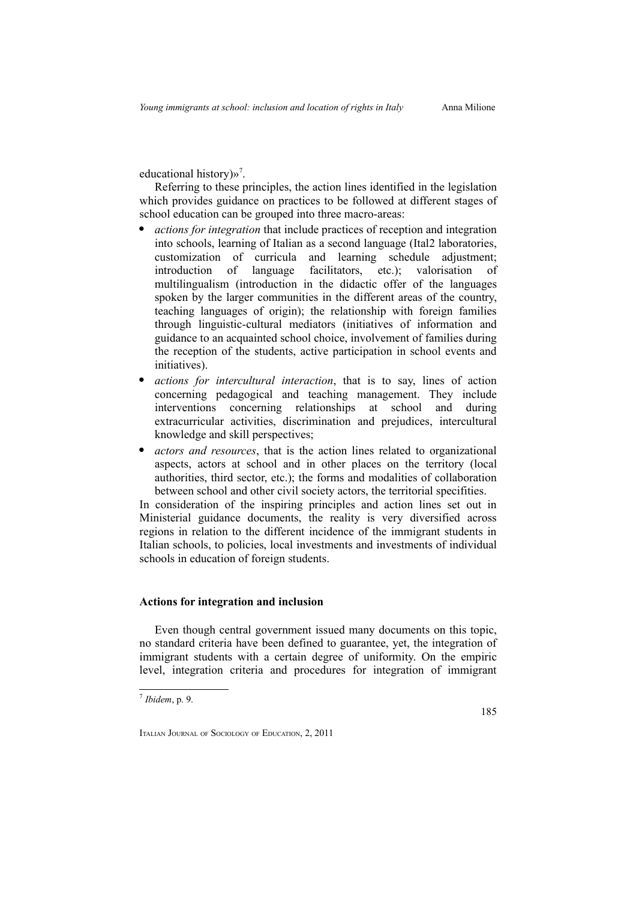educational history)»<sup>[7](#page-12-0)</sup>.

Referring to these principles, the action lines identified in the legislation which provides guidance on practices to be followed at different stages of school education can be grouped into three macro-areas:

- *actions for integration* that include practices of reception and integration into schools, learning of Italian as a second language (Ital2 laboratories, customization of curricula and learning schedule adjustment; introduction of language facilitators, etc.); valorisation of multilingualism (introduction in the didactic offer of the languages spoken by the larger communities in the different areas of the country, teaching languages of origin); the relationship with foreign families through linguistic-cultural mediators (initiatives of information and guidance to an acquainted school choice, involvement of families during the reception of the students, active participation in school events and initiatives).
- *actions for intercultural interaction*, that is to say, lines of action concerning pedagogical and teaching management. They include interventions concerning relationships at school and during extracurricular activities, discrimination and prejudices, intercultural knowledge and skill perspectives;
- *actors and resources*, that is the action lines related to organizational aspects, actors at school and in other places on the territory (local authorities, third sector, etc.); the forms and modalities of collaboration between school and other civil society actors, the territorial specifities.

In consideration of the inspiring principles and action lines set out in Ministerial guidance documents, the reality is very diversified across regions in relation to the different incidence of the immigrant students in Italian schools, to policies, local investments and investments of individual schools in education of foreign students.

# **Actions for integration and inclusion**

Even though central government issued many documents on this topic, no standard criteria have been defined to guarantee, yet, the integration of immigrant students with a certain degree of uniformity. On the empiric level, integration criteria and procedures for integration of immigrant

<span id="page-12-0"></span><sup>7</sup>  *Ibidem*, p. 9.

ITALIAN JOURNAL OF SOCIOLOGY OF EDUCATION, 2, 2011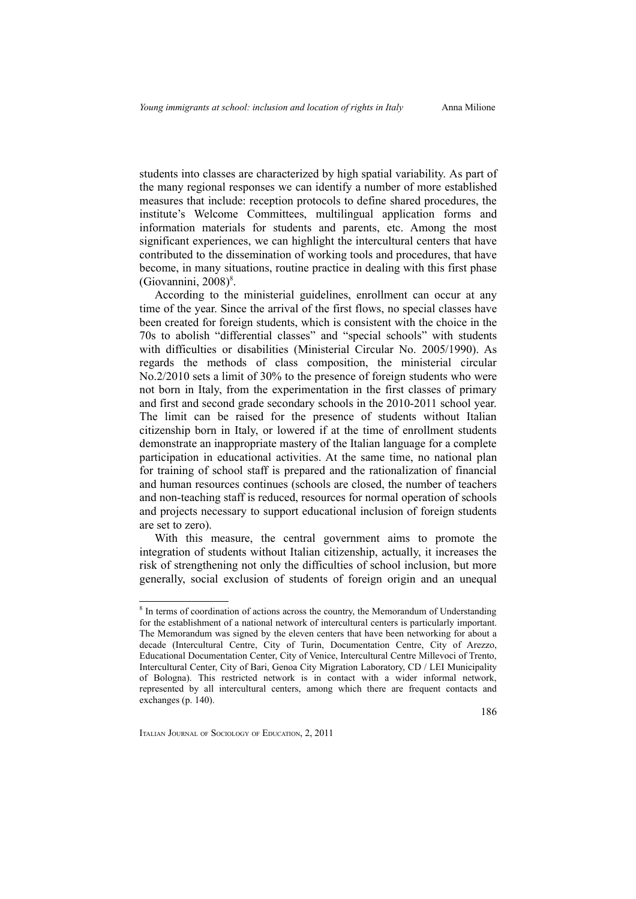186

students into classes are characterized by high spatial variability. As part of the many regional responses we can identify a number of more established measures that include: reception protocols to define shared procedures, the institute's Welcome Committees, multilingual application forms and information materials for students and parents, etc. Among the most significant experiences, we can highlight the intercultural centers that have contributed to the dissemination of working tools and procedures, that have become, in many situations, routine practice in dealing with this first phase (Giovannini, 200[8](#page-13-0))<sup>8</sup>.

According to the ministerial guidelines, enrollment can occur at any time of the year. Since the arrival of the first flows, no special classes have been created for foreign students, which is consistent with the choice in the 70s to abolish "differential classes" and "special schools" with students with difficulties or disabilities (Ministerial Circular No. 2005/1990). As regards the methods of class composition, the ministerial circular No.2/2010 sets a limit of 30% to the presence of foreign students who were not born in Italy, from the experimentation in the first classes of primary and first and second grade secondary schools in the 2010-2011 school year. The limit can be raised for the presence of students without Italian citizenship born in Italy, or lowered if at the time of enrollment students demonstrate an inappropriate mastery of the Italian language for a complete participation in educational activities. At the same time, no national plan for training of school staff is prepared and the rationalization of financial and human resources continues (schools are closed, the number of teachers and non-teaching staff is reduced, resources for normal operation of schools and projects necessary to support educational inclusion of foreign students are set to zero).

With this measure, the central government aims to promote the integration of students without Italian citizenship, actually, it increases the risk of strengthening not only the difficulties of school inclusion, but more generally, social exclusion of students of foreign origin and an unequal

<span id="page-13-0"></span><sup>&</sup>lt;sup>8</sup> In terms of coordination of actions across the country, the Memorandum of Understanding for the establishment of a national network of intercultural centers is particularly important. The Memorandum was signed by the eleven centers that have been networking for about a decade (Intercultural Centre, City of Turin, Documentation Centre, City of Arezzo, Educational Documentation Center, City of Venice, Intercultural Centre Millevoci of Trento, Intercultural Center, City of Bari, Genoa City Migration Laboratory, CD / LEI Municipality of Bologna). This restricted network is in contact with a wider informal network, represented by all intercultural centers, among which there are frequent contacts and exchanges (p. 140).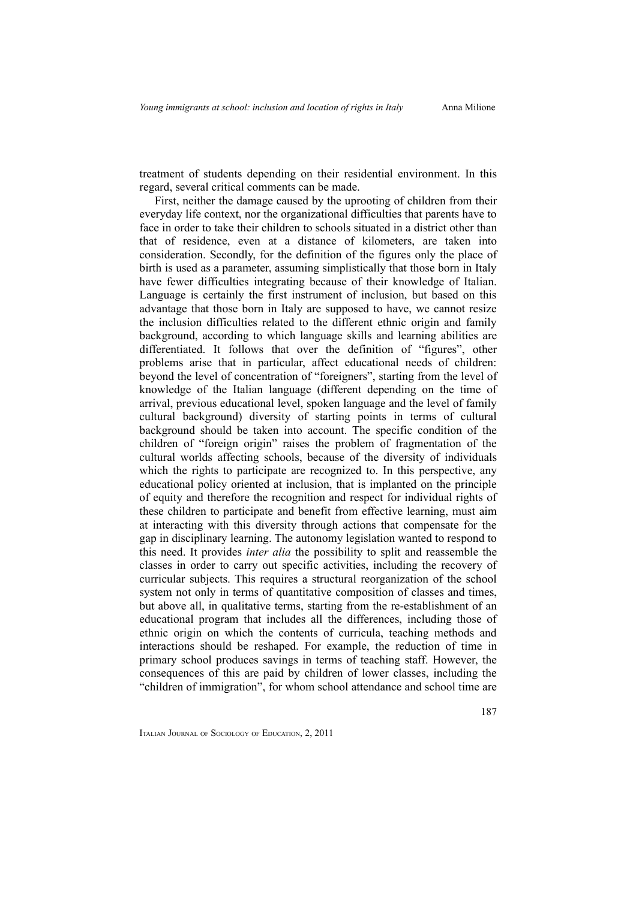treatment of students depending on their residential environment. In this regard, several critical comments can be made.

First, neither the damage caused by the uprooting of children from their everyday life context, nor the organizational difficulties that parents have to face in order to take their children to schools situated in a district other than that of residence, even at a distance of kilometers, are taken into consideration. Secondly, for the definition of the figures only the place of birth is used as a parameter, assuming simplistically that those born in Italy have fewer difficulties integrating because of their knowledge of Italian. Language is certainly the first instrument of inclusion, but based on this advantage that those born in Italy are supposed to have, we cannot resize the inclusion difficulties related to the different ethnic origin and family background, according to which language skills and learning abilities are differentiated. It follows that over the definition of "figures", other problems arise that in particular, affect educational needs of children: beyond the level of concentration of "foreigners", starting from the level of knowledge of the Italian language (different depending on the time of arrival, previous educational level, spoken language and the level of family cultural background) diversity of starting points in terms of cultural background should be taken into account. The specific condition of the children of "foreign origin" raises the problem of fragmentation of the cultural worlds affecting schools, because of the diversity of individuals which the rights to participate are recognized to. In this perspective, any educational policy oriented at inclusion, that is implanted on the principle of equity and therefore the recognition and respect for individual rights of these children to participate and benefit from effective learning, must aim at interacting with this diversity through actions that compensate for the gap in disciplinary learning. The autonomy legislation wanted to respond to this need. It provides *inter alia* the possibility to split and reassemble the classes in order to carry out specific activities, including the recovery of curricular subjects. This requires a structural reorganization of the school system not only in terms of quantitative composition of classes and times, but above all, in qualitative terms, starting from the re-establishment of an educational program that includes all the differences, including those of ethnic origin on which the contents of curricula, teaching methods and interactions should be reshaped. For example, the reduction of time in primary school produces savings in terms of teaching staff. However, the consequences of this are paid by children of lower classes, including the "children of immigration", for whom school attendance and school time are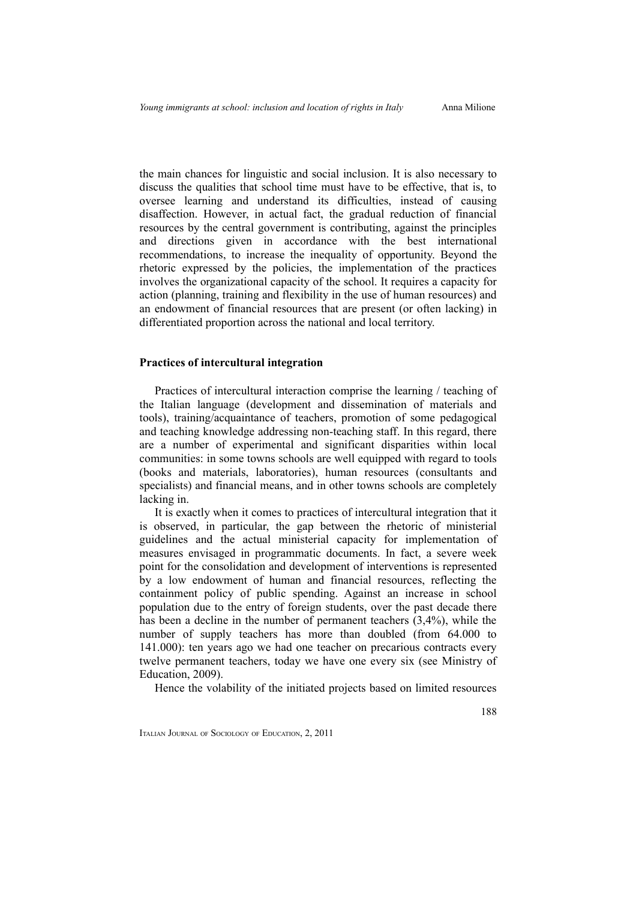the main chances for linguistic and social inclusion. It is also necessary to discuss the qualities that school time must have to be effective, that is, to oversee learning and understand its difficulties, instead of causing disaffection. However, in actual fact, the gradual reduction of financial resources by the central government is contributing, against the principles and directions given in accordance with the best international recommendations, to increase the inequality of opportunity. Beyond the rhetoric expressed by the policies, the implementation of the practices involves the organizational capacity of the school. It requires a capacity for action (planning, training and flexibility in the use of human resources) and an endowment of financial resources that are present (or often lacking) in differentiated proportion across the national and local territory.

### **Practices of intercultural integration**

Practices of intercultural interaction comprise the learning / teaching of the Italian language (development and dissemination of materials and tools), training/acquaintance of teachers, promotion of some pedagogical and teaching knowledge addressing non-teaching staff. In this regard, there are a number of experimental and significant disparities within local communities: in some towns schools are well equipped with regard to tools (books and materials, laboratories), human resources (consultants and specialists) and financial means, and in other towns schools are completely lacking in.

It is exactly when it comes to practices of intercultural integration that it is observed, in particular, the gap between the rhetoric of ministerial guidelines and the actual ministerial capacity for implementation of measures envisaged in programmatic documents. In fact, a severe week point for the consolidation and development of interventions is represented by a low endowment of human and financial resources, reflecting the containment policy of public spending. Against an increase in school population due to the entry of foreign students, over the past decade there has been a decline in the number of permanent teachers (3,4%), while the number of supply teachers has more than doubled (from 64.000 to 141.000): ten years ago we had one teacher on precarious contracts every twelve permanent teachers, today we have one every six (see Ministry of Education, 2009).

Hence the volability of the initiated projects based on limited resources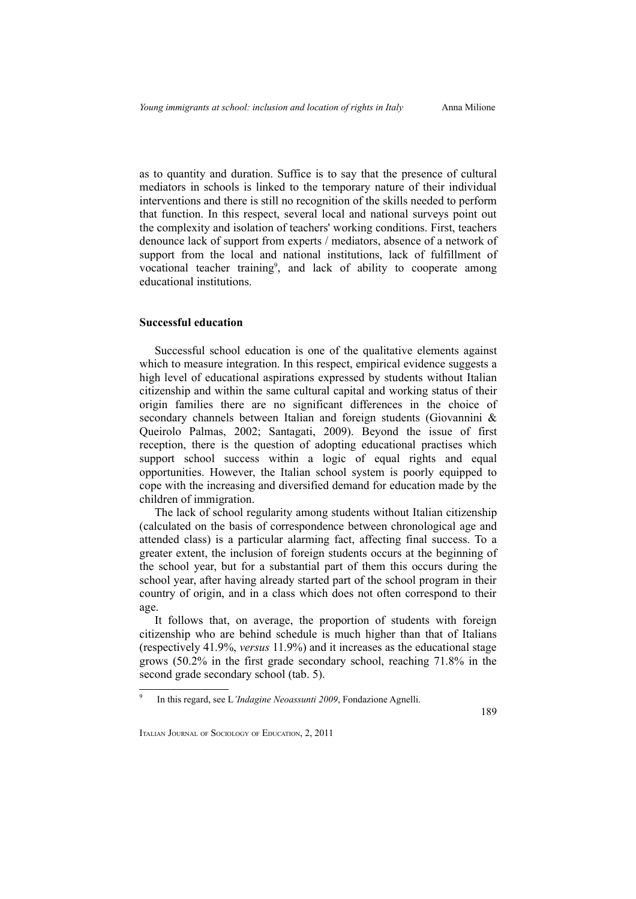as to quantity and duration. Suffice is to say that the presence of cultural mediators in schools is linked to the temporary nature of their individual interventions and there is still no recognition of the skills needed to perform that function. In this respect, several local and national surveys point out the complexity and isolation of teachers' working conditions. First, teachers denounce lack of support from experts / mediators, absence of a network of support from the local and national institutions, lack of fulfillment of vocational teacher training<sup>[9](#page-16-0)</sup>, and lack of ability to cooperate among educational institutions.

## **Successful education**

Successful school education is one of the qualitative elements against which to measure integration. In this respect, empirical evidence suggests a high level of educational aspirations expressed by students without Italian citizenship and within the same cultural capital and working status of their origin families there are no significant differences in the choice of secondary channels between Italian and foreign students (Giovannini & Queirolo Palmas, 2002; Santagati, 2009). Beyond the issue of first reception, there is the question of adopting educational practises which support school success within a logic of equal rights and equal opportunities. However, the Italian school system is poorly equipped to cope with the increasing and diversified demand for education made by the children of immigration.

The lack of school regularity among students without Italian citizenship (calculated on the basis of correspondence between chronological age and attended class) is a particular alarming fact, affecting final success. To a greater extent, the inclusion of foreign students occurs at the beginning of the school year, but for a substantial part of them this occurs during the school year, after having already started part of the school program in their country of origin, and in a class which does not often correspond to their age.

It follows that, on average, the proportion of students with foreign citizenship who are behind schedule is much higher than that of Italians (respectively 41.9%, *versus* 11.9%) and it increases as the educational stage grows (50.2% in the first grade secondary school, reaching 71.8% in the second grade secondary school (tab. 5).

<span id="page-16-0"></span><sup>9</sup> In this regard, see L*'Indagine Neoassunti 2009*, Fondazione Agnelli.

<sup>189</sup>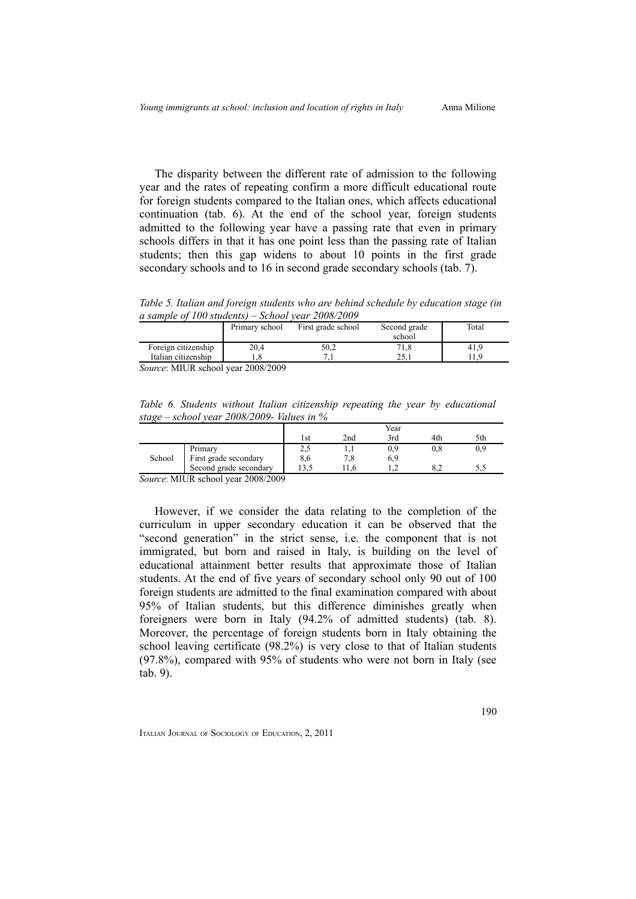The disparity between the different rate of admission to the following year and the rates of repeating confirm a more difficult educational route for foreign students compared to the Italian ones, which affects educational continuation (tab. 6). At the end of the school year, foreign students admitted to the following year have a passing rate that even in primary schools differs in that it has one point less than the passing rate of Italian students; then this gap widens to about 10 points in the first grade secondary schools and to 16 in second grade secondary schools (tab. 7).

*Table 5. Italian and foreign students who are behind schedule by education stage (in a sample of 100 students) – School year 2008/2009*

|                                  | Primary school | First grade school | Second grade | Total |
|----------------------------------|----------------|--------------------|--------------|-------|
|                                  |                |                    | school       |       |
| Foreign citizenship              | 20.4           | 50.2               | 71,8         | 41.9  |
| Italian citizenship              |                |                    |              |       |
| $\alpha$ . MIT ID 1.1. 2000/2000 |                |                    |              |       |

*Source*: MIUR school year 2008/2009

*Table 6. Students without Italian citizenship repeating the year by educational stage – school year 2008/2009- Values in %*

|        |                        |      |     | Year |     |     |
|--------|------------------------|------|-----|------|-----|-----|
|        |                        | l st | 2nd | 3rd  | 4th | 5th |
|        | Primary                | نہ ک |     | 0.9  | U.8 |     |
| School | First grade secondary  | 8,6  |     | 6.9  |     |     |
|        | Second grade secondary |      |     |      |     |     |

*Source*: MIUR school year 2008/2009

However, if we consider the data relating to the completion of the curriculum in upper secondary education it can be observed that the "second generation" in the strict sense, i.e. the component that is not immigrated, but born and raised in Italy, is building on the level of educational attainment better results that approximate those of Italian students. At the end of five years of secondary school only 90 out of 100 foreign students are admitted to the final examination compared with about 95% of Italian students, but this difference diminishes greatly when foreigners were born in Italy (94.2% of admitted students) (tab. 8). Moreover, the percentage of foreign students born in Italy obtaining the school leaving certificate (98.2%) is very close to that of Italian students (97.8%), compared with 95% of students who were not born in Italy (see tab. 9).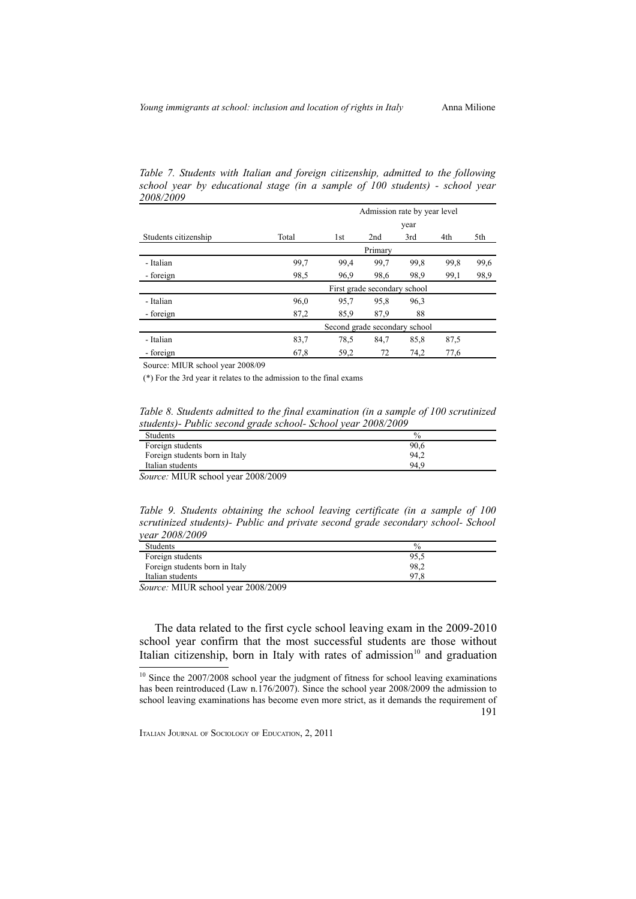|                      |       | Admission rate by year level  |                              |      |      |      |
|----------------------|-------|-------------------------------|------------------------------|------|------|------|
|                      |       |                               |                              | year |      |      |
| Students citizenship | Total | 1st                           | 2nd                          | 3rd  | 4th  | 5th  |
|                      |       |                               | Primary                      |      |      |      |
| - Italian            | 99,7  | 99,4                          | 99,7                         | 99.8 | 99.8 | 99,6 |
| - foreign            | 98,5  | 96.9                          | 98,6                         | 98.9 | 99,1 | 98,9 |
|                      |       |                               | First grade secondary school |      |      |      |
| - Italian            | 96,0  | 95,7                          | 95,8                         | 96.3 |      |      |
| - foreign            | 87,2  | 85,9                          | 87,9                         | 88   |      |      |
|                      |       | Second grade secondary school |                              |      |      |      |
| - Italian            | 83,7  | 78.5                          | 84,7                         | 85,8 | 87,5 |      |
| - foreign            | 67,8  | 59,2                          | 72                           | 74,2 | 77,6 |      |

*Table 7. Students with Italian and foreign citizenship, admitted to the following school year by educational stage (in a sample of 100 students) - school year 2008/2009*

Source: MIUR school year 2008/09

(\*) For the 3rd year it relates to the admission to the final exams

*Table 8. Students admitted to the final examination (in a sample of 100 scrutinized students)- Public second grade school- School year 2008/2009*

| <b>Students</b>                |      |
|--------------------------------|------|
| Foreign students               | 90,6 |
| Foreign students born in Italy | 94.2 |
| Italian students               | 94.9 |

*Source:* MIUR school year 2008/2009

*Table 9. Students obtaining the school leaving certificate (in a sample of 100 scrutinized students)- Public and private second grade secondary school- School year 2008/2009*

| <b>Students</b>                                                     | $\%$          |
|---------------------------------------------------------------------|---------------|
| Foreign students                                                    | 95,5          |
| Foreign students born in Italy                                      | 98,2          |
| Italian students                                                    | 97.8<br>' . C |
| ---------<br><b>Property Commercial Commercial Commercial</b><br>-- |               |

*Source:* MIUR school year 2008/2009

The data related to the first cycle school leaving exam in the 2009-2010 school year confirm that the most successful students are those without Italian citizenship, born in Italy with rates of admission $10$  and graduation

<span id="page-18-0"></span><sup>&</sup>lt;sup>10</sup> Since the 2007/2008 school year the judgment of fitness for school leaving examinations has been reintroduced (Law n.176/2007). Since the school year 2008/2009 the admission to school leaving examinations has become even more strict, as it demands the requirement of 191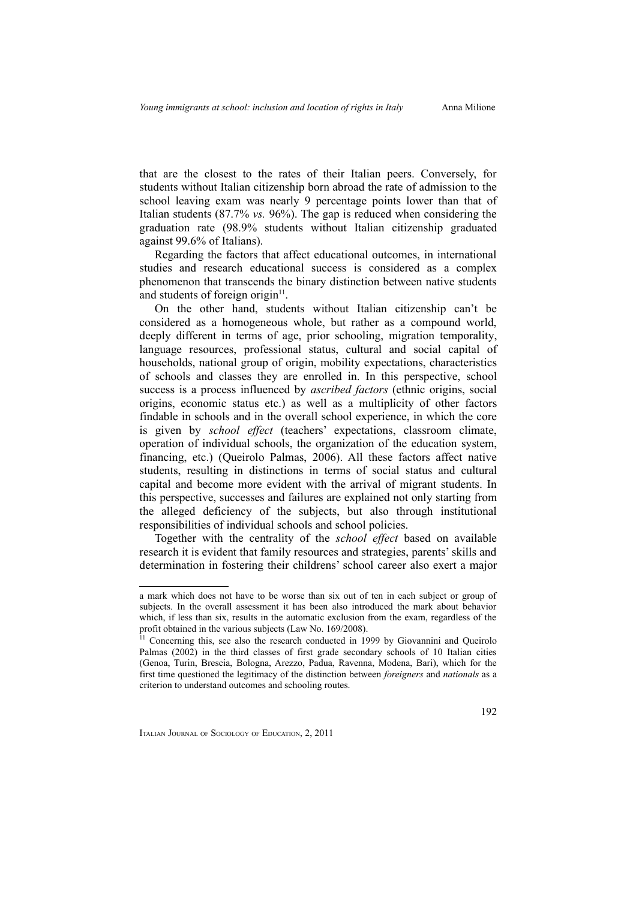that are the closest to the rates of their Italian peers. Conversely, for students without Italian citizenship born abroad the rate of admission to the school leaving exam was nearly 9 percentage points lower than that of Italian students (87.7% *vs.* 96%). The gap is reduced when considering the graduation rate (98.9% students without Italian citizenship graduated against 99.6% of Italians).

Regarding the factors that affect educational outcomes, in international studies and research educational success is considered as a complex phenomenon that transcends the binary distinction between native students and students of foreign origin<sup>[11](#page-19-0)</sup>.

On the other hand, students without Italian citizenship can't be considered as a homogeneous whole, but rather as a compound world, deeply different in terms of age, prior schooling, migration temporality, language resources, professional status, cultural and social capital of households, national group of origin, mobility expectations, characteristics of schools and classes they are enrolled in. In this perspective, school success is a process influenced by *ascribed factors* (ethnic origins, social origins, economic status etc.) as well as a multiplicity of other factors findable in schools and in the overall school experience, in which the core is given by *school effect* (teachers' expectations, classroom climate, operation of individual schools, the organization of the education system, financing, etc.) (Queirolo Palmas, 2006). All these factors affect native students, resulting in distinctions in terms of social status and cultural capital and become more evident with the arrival of migrant students. In this perspective, successes and failures are explained not only starting from the alleged deficiency of the subjects, but also through institutional responsibilities of individual schools and school policies.

Together with the centrality of the *school effect* based on available research it is evident that family resources and strategies, parents' skills and determination in fostering their childrens' school career also exert a major

a mark which does not have to be worse than six out of ten in each subject or group of subjects. In the overall assessment it has been also introduced the mark about behavior which, if less than six, results in the automatic exclusion from the exam, regardless of the profit obtained in the various subjects (Law No. 169/2008).

<span id="page-19-0"></span><sup>&</sup>lt;sup>11</sup> Concerning this, see also the research conducted in 1999 by Giovannini and Queirolo Palmas (2002) in the third classes of first grade secondary schools of 10 Italian cities (Genoa, Turin, Brescia, Bologna, Arezzo, Padua, Ravenna, Modena, Bari), which for the first time questioned the legitimacy of the distinction between *foreigners* and *nationals* as a criterion to understand outcomes and schooling routes.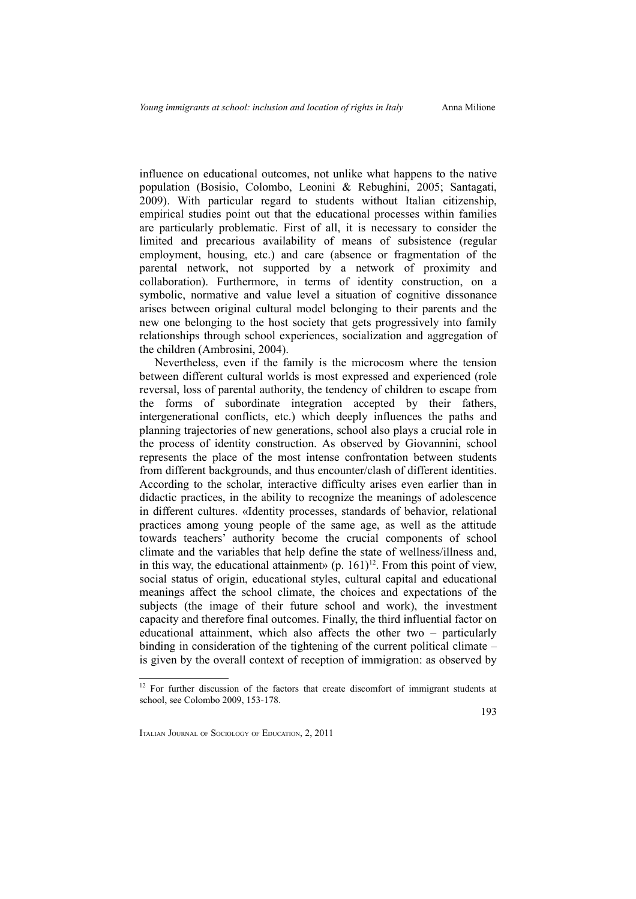influence on educational outcomes, not unlike what happens to the native population (Bosisio, Colombo, Leonini & Rebughini, 2005; Santagati, 2009). With particular regard to students without Italian citizenship, empirical studies point out that the educational processes within families are particularly problematic. First of all, it is necessary to consider the limited and precarious availability of means of subsistence (regular employment, housing, etc.) and care (absence or fragmentation of the parental network, not supported by a network of proximity and collaboration). Furthermore, in terms of identity construction, on a symbolic, normative and value level a situation of cognitive dissonance arises between original cultural model belonging to their parents and the new one belonging to the host society that gets progressively into family relationships through school experiences, socialization and aggregation of the children (Ambrosini, 2004).

Nevertheless, even if the family is the microcosm where the tension between different cultural worlds is most expressed and experienced (role reversal, loss of parental authority, the tendency of children to escape from the forms of subordinate integration accepted by their fathers, intergenerational conflicts, etc.) which deeply influences the paths and planning trajectories of new generations, school also plays a crucial role in the process of identity construction. As observed by Giovannini, school represents the place of the most intense confrontation between students from different backgrounds, and thus encounter/clash of different identities. According to the scholar, interactive difficulty arises even earlier than in didactic practices, in the ability to recognize the meanings of adolescence in different cultures. «Identity processes, standards of behavior, relational practices among young people of the same age, as well as the attitude towards teachers' authority become the crucial components of school climate and the variables that help define the state of wellness/illness and, in this way, the educational attainment»  $(p. 161)^{12}$  $(p. 161)^{12}$  $(p. 161)^{12}$ . From this point of view, social status of origin, educational styles, cultural capital and educational meanings affect the school climate, the choices and expectations of the subjects (the image of their future school and work), the investment capacity and therefore final outcomes. Finally, the third influential factor on educational attainment, which also affects the other two – particularly binding in consideration of the tightening of the current political climate – is given by the overall context of reception of immigration: as observed by

193

<span id="page-20-0"></span> $12$  For further discussion of the factors that create discomfort of immigrant students at school, see Colombo 2009, 153-178.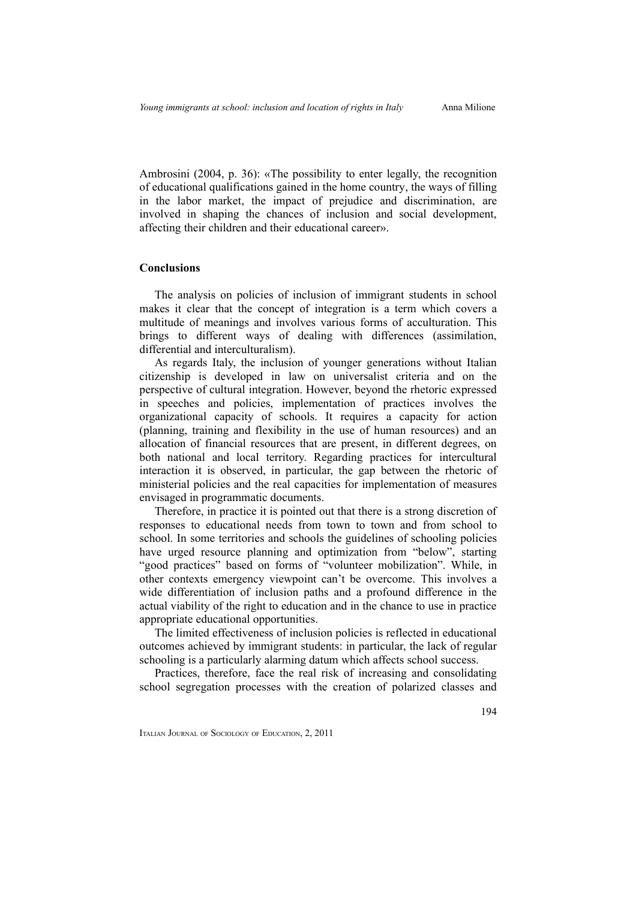Ambrosini (2004, p. 36): «The possibility to enter legally, the recognition of educational qualifications gained in the home country, the ways of filling in the labor market, the impact of prejudice and discrimination, are involved in shaping the chances of inclusion and social development, affecting their children and their educational career».

# **Conclusions**

The analysis on policies of inclusion of immigrant students in school makes it clear that the concept of integration is a term which covers a multitude of meanings and involves various forms of acculturation. This brings to different ways of dealing with differences (assimilation, differential and interculturalism).

As regards Italy, the inclusion of younger generations without Italian citizenship is developed in law on universalist criteria and on the perspective of cultural integration. However, beyond the rhetoric expressed in speeches and policies, implementation of practices involves the organizational capacity of schools. It requires a capacity for action (planning, training and flexibility in the use of human resources) and an allocation of financial resources that are present, in different degrees, on both national and local territory. Regarding practices for intercultural interaction it is observed, in particular, the gap between the rhetoric of ministerial policies and the real capacities for implementation of measures envisaged in programmatic documents.

Therefore, in practice it is pointed out that there is a strong discretion of responses to educational needs from town to town and from school to school. In some territories and schools the guidelines of schooling policies have urged resource planning and optimization from "below", starting "good practices" based on forms of "volunteer mobilization". While, in other contexts emergency viewpoint can't be overcome. This involves a wide differentiation of inclusion paths and a profound difference in the actual viability of the right to education and in the chance to use in practice appropriate educational opportunities.

The limited effectiveness of inclusion policies is reflected in educational outcomes achieved by immigrant students: in particular, the lack of regular schooling is a particularly alarming datum which affects school success.

Practices, therefore, face the real risk of increasing and consolidating school segregation processes with the creation of polarized classes and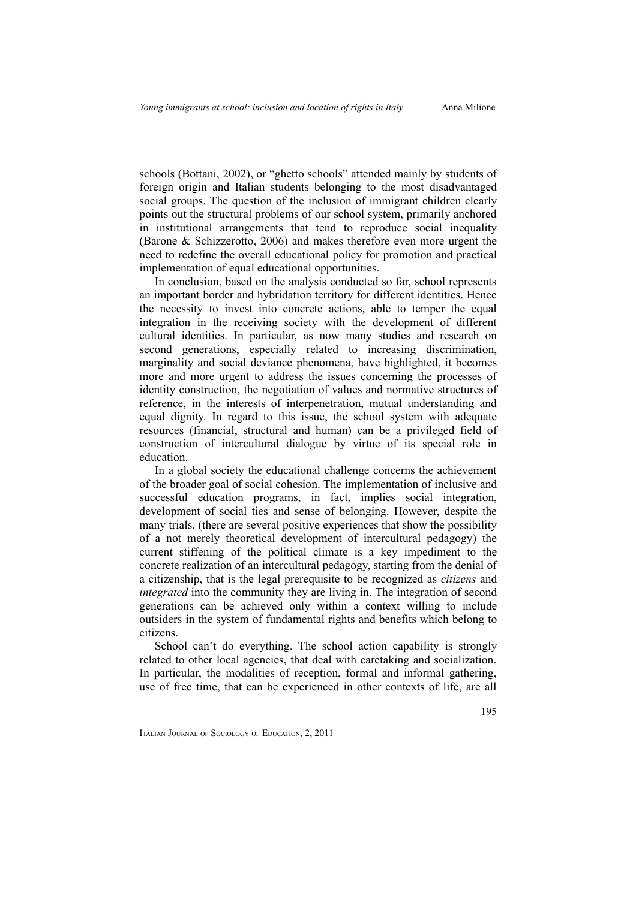schools (Bottani, 2002), or "ghetto schools" attended mainly by students of foreign origin and Italian students belonging to the most disadvantaged social groups. The question of the inclusion of immigrant children clearly points out the structural problems of our school system, primarily anchored in institutional arrangements that tend to reproduce social inequality (Barone & Schizzerotto, 2006) and makes therefore even more urgent the need to redefine the overall educational policy for promotion and practical implementation of equal educational opportunities.

In conclusion, based on the analysis conducted so far, school represents an important border and hybridation territory for different identities. Hence the necessity to invest into concrete actions, able to temper the equal integration in the receiving society with the development of different cultural identities. In particular, as now many studies and research on second generations, especially related to increasing discrimination, marginality and social deviance phenomena, have highlighted, it becomes more and more urgent to address the issues concerning the processes of identity construction, the negotiation of values and normative structures of reference, in the interests of interpenetration, mutual understanding and equal dignity. In regard to this issue, the school system with adequate resources (financial, structural and human) can be a privileged field of construction of intercultural dialogue by virtue of its special role in education.

In a global society the educational challenge concerns the achievement of the broader goal of social cohesion. The implementation of inclusive and successful education programs, in fact, implies social integration, development of social ties and sense of belonging. However, despite the many trials, (there are several positive experiences that show the possibility of a not merely theoretical development of intercultural pedagogy) the current stiffening of the political climate is a key impediment to the concrete realization of an intercultural pedagogy, starting from the denial of a citizenship, that is the legal prerequisite to be recognized as *citizens* and *integrated* into the community they are living in. The integration of second generations can be achieved only within a context willing to include outsiders in the system of fundamental rights and benefits which belong to citizens.

School can't do everything. The school action capability is strongly related to other local agencies, that deal with caretaking and socialization. In particular, the modalities of reception, formal and informal gathering, use of free time, that can be experienced in other contexts of life, are all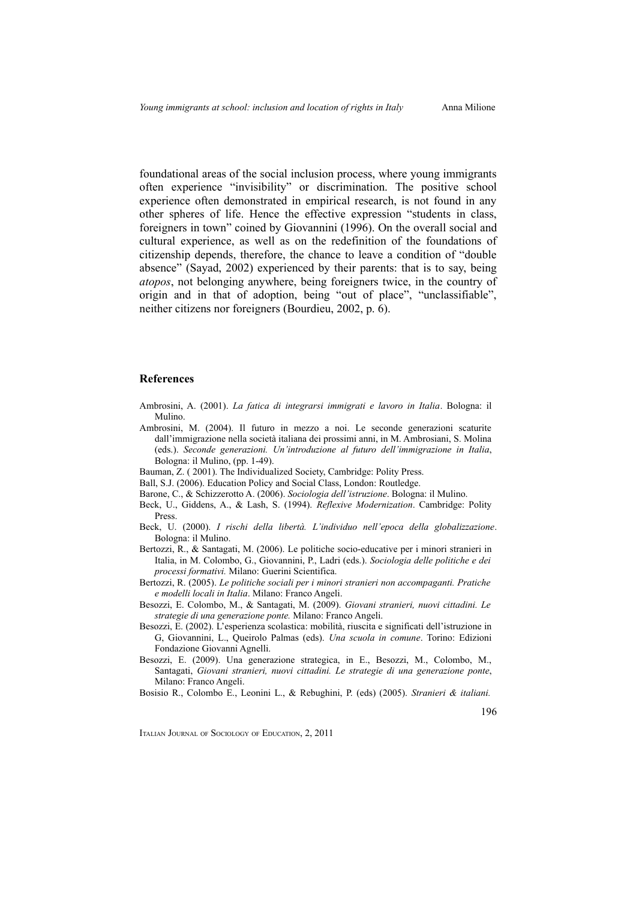foundational areas of the social inclusion process, where young immigrants often experience "invisibility" or discrimination. The positive school experience often demonstrated in empirical research, is not found in any other spheres of life. Hence the effective expression "students in class, foreigners in town" coined by Giovannini (1996). On the overall social and cultural experience, as well as on the redefinition of the foundations of citizenship depends, therefore, the chance to leave a condition of "double absence" (Sayad, 2002) experienced by their parents: that is to say, being *atopos*, not belonging anywhere, being foreigners twice, in the country of origin and in that of adoption, being "out of place", "unclassifiable", neither citizens nor foreigners (Bourdieu, 2002, p. 6).

#### **References**

- Ambrosini, A. (2001). *La fatica di integrarsi immigrati e lavoro in Italia*. Bologna: il Mulino.
- Ambrosini, M. (2004). Il futuro in mezzo a noi. Le seconde generazioni scaturite dall'immigrazione nella società italiana dei prossimi anni, in M. Ambrosiani, S. Molina (eds.). *Seconde generazioni. Un'introduzione al futuro dell'immigrazione in Italia*, Bologna: il Mulino, (pp. 1-49).
- Bauman, Z. ( 2001). The Individualized Society, Cambridge: Polity Press.
- Ball, S.J. (2006). Education Policy and Social Class, London: Routledge.
- Barone, C., & Schizzerotto A. (2006). *Sociologia dell'istruzione*. Bologna: il Mulino.
- Beck, U., Giddens, A., & Lash, S. (1994). *Reflexive Modernization*. Cambridge: Polity Press.
- Beck, U. (2000). *I rischi della libertà. L'individuo nell'epoca della globalizzazione*. Bologna: il Mulino.
- Bertozzi, R., & Santagati, M. (2006). Le politiche socio-educative per i minori stranieri in Italia, in M. Colombo, G., Giovannini, P., Ladri (eds.). *Sociologia delle politiche e dei processi formativi.* Milano: Guerini Scientifica.
- Bertozzi, R. (2005). *Le politiche sociali per i minori stranieri non accompaganti. Pratiche e modelli locali in Italia*. Milano: Franco Angeli.
- Besozzi, E. Colombo, M., & Santagati, M. (2009). *Giovani stranieri, nuovi cittadini. Le strategie di una generazione ponte.* Milano: Franco Angeli.
- Besozzi, E. (2002). L'esperienza scolastica: mobilità, riuscita e significati dell'istruzione in G, Giovannini, L., Queirolo Palmas (eds). *Una scuola in comune*. Torino: Edizioni Fondazione Giovanni Agnelli.
- Besozzi, E. (2009). Una generazione strategica, in E., Besozzi, M., Colombo, M., Santagati, *Giovani stranieri, nuovi cittadini. Le strategie di una generazione ponte*, Milano: Franco Angeli.
- Bosisio R., Colombo E., Leonini L., & Rebughini, P. (eds) (2005). *Stranieri & italiani.*

196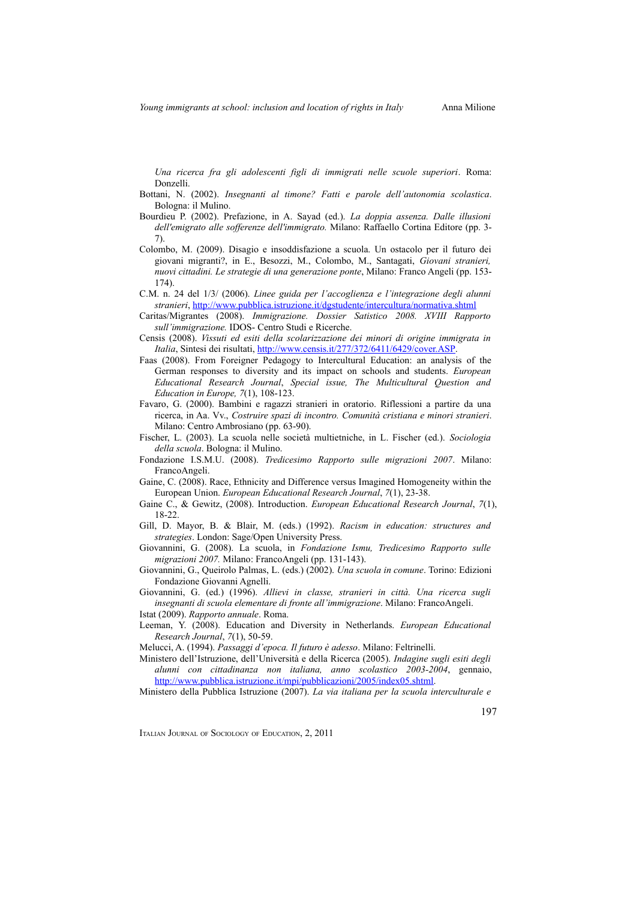*Una ricerca fra gli adolescenti figli di immigrati nelle scuole superiori*. Roma: Donzelli.

- Bottani, N. (2002). *Insegnanti al timone? Fatti e parole dell'autonomia scolastica*. Bologna: il Mulino.
- Bourdieu P. (2002). Prefazione, in A. Sayad (ed.). *La doppia assenza. Dalle illusioni dell'emigrato alle sofferenze dell'immigrato.* Milano: Raffaello Cortina Editore (pp. 3- 7).
- Colombo, M. (2009). Disagio e insoddisfazione a scuola. Un ostacolo per il futuro dei giovani migranti?, in E., Besozzi, M., Colombo, M., Santagati, *Giovani stranieri, nuovi cittadini. Le strategie di una generazione ponte*, Milano: Franco Angeli (pp. 153- 174).
- C.M. n. 24 del 1/3/ (2006). *Linee guida per l'accoglienza e l'integrazione degli alunni stranieri*,<http://www.pubblica.istruzione.it/dgstudente/intercultura/normativa.shtml>
- Caritas/Migrantes (2008). *Immigrazione. Dossier Satistico 2008. XVIII Rapporto sull'immigrazione.* IDOS- Centro Studi e Ricerche.
- Censis (2008). *Vissuti ed esiti della scolarizzazione dei minori di origine immigrata in Italia*, Sintesi dei risultati, [http://www.censis.it/277/372/6411/6429/cover.ASP.](http://www.censis.it/277/372/6411/6429/cover.ASP)
- Faas (2008). From Foreigner Pedagogy to Intercultural Education: an analysis of the German responses to diversity and its impact on schools and students. *European Educational Research Journal*, *Special issue, The Multicultural Question and Education in Europe, 7*(1), 108-123.
- Favaro, G. (2000). Bambini e ragazzi stranieri in oratorio. Riflessioni a partire da una ricerca, in Aa. Vv., *Costruire spazi di incontro. Comunità cristiana e minori stranieri*. Milano: Centro Ambrosiano (pp. 63-90).
- Fischer, L. (2003). La scuola nelle società multietniche, in L. Fischer (ed.). *Sociologia della scuola*. Bologna: il Mulino.
- Fondazione I.S.M.U. (2008). *Tredicesimo Rapporto sulle migrazioni 2007*. Milano: FrancoAngeli.
- Gaine, C. (2008). Race, Ethnicity and Difference versus Imagined Homogeneity within the European Union. *European Educational Research Journal*, *7*(1), 23-38.
- Gaine C., & Gewitz, (2008). Introduction. *European Educational Research Journal*, *7*(1), 18-22.
- Gill, D. Mayor, B. & Blair, M. (eds.) (1992). *Racism in education: structures and strategies*. London: Sage/Open University Press.
- Giovannini, G. (2008). La scuola, in *Fondazione Ismu, Tredicesimo Rapporto sulle migrazioni 2007.* Milano: FrancoAngeli (pp. 131-143).
- Giovannini, G., Queirolo Palmas, L. (eds.) (2002). *Una scuola in comune*. Torino: Edizioni Fondazione Giovanni Agnelli.

Giovannini, G. (ed.) (1996). *Allievi in classe, stranieri in città. Una ricerca sugli insegnanti di scuola elementare di fronte all'immigrazione*. Milano: FrancoAngeli. Istat (2009). *Rapporto annuale*. Roma.

Leeman, Y. (2008). Education and Diversity in Netherlands. *European Educational Research Journal*, *7*(1), 50-59.

Ministero dell'Istruzione, dell'Università e della Ricerca (2005). *Indagine sugli esiti degli alunni con cittadinanza non italiana, anno scolastico 2003-2004*, gennaio, [http://www.pubblica.istruzione.it/mpi/pubblicazioni/2005/index05.shtml.](http://www.pubblica.istruzione.it/mpi/pubblicazioni/2005/index05.shtml)

Ministero della Pubblica Istruzione (2007). *La via italiana per la scuola interculturale e*

197

Melucci, A. (1994). *Passaggi d'epoca. Il futuro è adesso*. Milano: Feltrinelli.